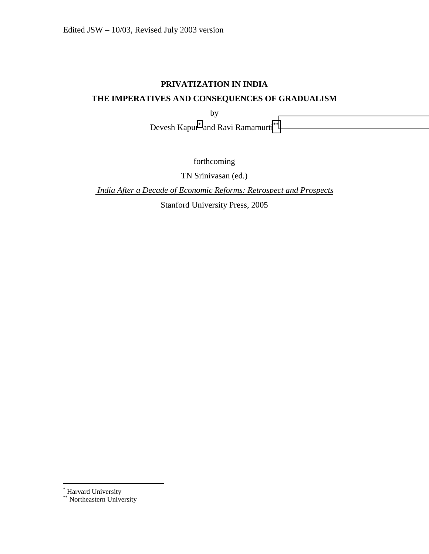# **PRIVATIZATION IN INDIA THE IMPERATIVES AND CONSEQUENCES OF GRADUALISM**

by

Devesh Kapur<sup>\*</sup> and Ravi Ramamurti<sup>\*\*</sup>

forthcoming

TN Srinivasan (ed.)

*India After a Decade of Economic Reforms: Retrospect and Prospects*

Stanford University Press, 2005

<sup>\*&</sup>lt;br>
Harvard University

<sup>\*\*</sup> Northeastern University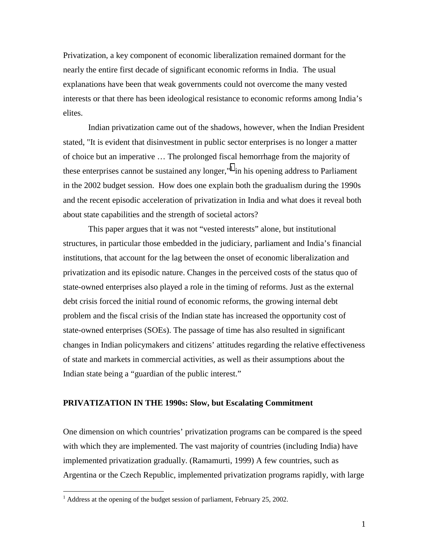Privatization, a key component of economic liberalization remained dormant for the nearly the entire first decade of significant economic reforms in India. The usual explanations have been that weak governments could not overcome the many vested interests or that there has been ideological resistance to economic reforms among India's elites.

 Indian privatization came out of the shadows, however, when the Indian President stated, "It is evident that disinvestment in public sector enterprises is no longer a matter of choice but an imperative … The prolonged fiscal hemorrhage from the majority of these enterprises cannot be sustained any longer," $1$  in his opening address to Parliament in the 2002 budget session. How does one explain both the gradualism during the 1990s and the recent episodic acceleration of privatization in India and what does it reveal both about state capabilities and the strength of societal actors?

This paper argues that it was not "vested interests" alone, but institutional structures, in particular those embedded in the judiciary, parliament and India's financial institutions, that account for the lag between the onset of economic liberalization and privatization and its episodic nature. Changes in the perceived costs of the status quo of state-owned enterprises also played a role in the timing of reforms. Just as the external debt crisis forced the initial round of economic reforms, the growing internal debt problem and the fiscal crisis of the Indian state has increased the opportunity cost of state-owned enterprises (SOEs). The passage of time has also resulted in significant changes in Indian policymakers and citizens' attitudes regarding the relative effectiveness of state and markets in commercial activities, as well as their assumptions about the Indian state being a "guardian of the public interest."

## **PRIVATIZATION IN THE 1990s: Slow, but Escalating Commitment**

One dimension on which countries' privatization programs can be compared is the speed with which they are implemented. The vast majority of countries (including India) have implemented privatization gradually. (Ramamurti, 1999) A few countries, such as Argentina or the Czech Republic, implemented privatization programs rapidly, with large

 $<sup>1</sup>$  Address at the opening of the budget session of parliament, February 25, 2002.</sup>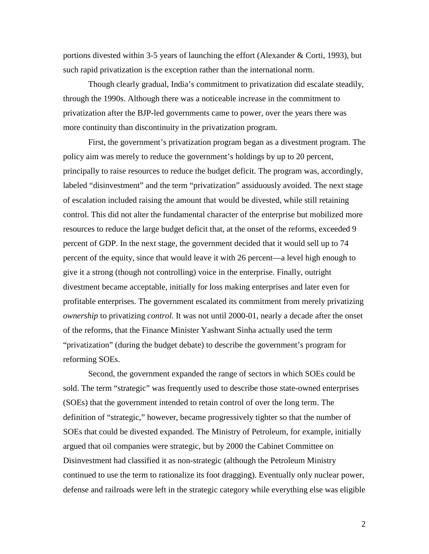portions divested within 3-5 years of launching the effort (Alexander & Corti, 1993), but such rapid privatization is the exception rather than the international norm.

Though clearly gradual, India's commitment to privatization did escalate steadily, through the 1990s. Although there was a noticeable increase in the commitment to privatization after the BJP-led governments came to power, over the years there was more continuity than discontinuity in the privatization program.

First, the government's privatization program began as a divestment program. The policy aim was merely to reduce the government's holdings by up to 20 percent, principally to raise resources to reduce the budget deficit. The program was, accordingly, labeled "disinvestment" and the term "privatization" assiduously avoided. The next stage of escalation included raising the amount that would be divested, while still retaining control. This did not alter the fundamental character of the enterprise but mobilized more resources to reduce the large budget deficit that, at the onset of the reforms, exceeded 9 percent of GDP. In the next stage, the government decided that it would sell up to 74 percent of the equity, since that would leave it with 26 percent—a level high enough to give it a strong (though not controlling) voice in the enterprise. Finally, outright divestment became acceptable, initially for loss making enterprises and later even for profitable enterprises. The government escalated its commitment from merely privatizing *ownership* to privatizing *control*. It was not until 2000-01, nearly a decade after the onset of the reforms, that the Finance Minister Yashwant Sinha actually used the term "privatization" (during the budget debate) to describe the government's program for reforming SOEs.

Second, the government expanded the range of sectors in which SOEs could be sold. The term "strategic" was frequently used to describe those state-owned enterprises (SOEs) that the government intended to retain control of over the long term. The definition of "strategic," however, became progressively tighter so that the number of SOEs that could be divested expanded. The Ministry of Petroleum, for example, initially argued that oil companies were strategic, but by 2000 the Cabinet Committee on Disinvestment had classified it as non-strategic (although the Petroleum Ministry continued to use the term to rationalize its foot dragging). Eventually only nuclear power, defense and railroads were left in the strategic category while everything else was eligible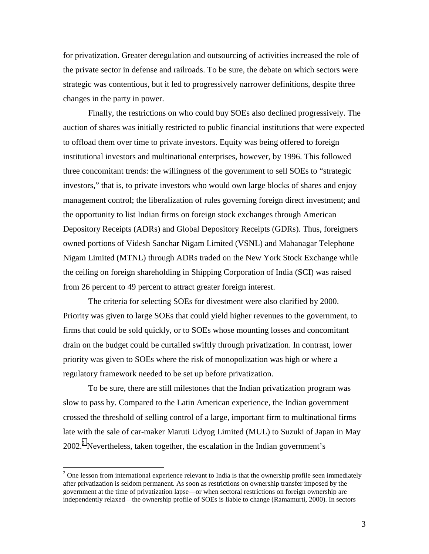for privatization. Greater deregulation and outsourcing of activities increased the role of the private sector in defense and railroads. To be sure, the debate on which sectors were strategic was contentious, but it led to progressively narrower definitions, despite three changes in the party in power.

Finally, the restrictions on who could buy SOEs also declined progressively. The auction of shares was initially restricted to public financial institutions that were expected to offload them over time to private investors. Equity was being offered to foreign institutional investors and multinational enterprises, however, by 1996. This followed three concomitant trends: the willingness of the government to sell SOEs to "strategic investors," that is, to private investors who would own large blocks of shares and enjoy management control; the liberalization of rules governing foreign direct investment; and the opportunity to list Indian firms on foreign stock exchanges through American Depository Receipts (ADRs) and Global Depository Receipts (GDRs). Thus, foreigners owned portions of Videsh Sanchar Nigam Limited (VSNL) and Mahanagar Telephone Nigam Limited (MTNL) through ADRs traded on the New York Stock Exchange while the ceiling on foreign shareholding in Shipping Corporation of India (SCI) was raised from 26 percent to 49 percent to attract greater foreign interest.

The criteria for selecting SOEs for divestment were also clarified by 2000. Priority was given to large SOEs that could yield higher revenues to the government, to firms that could be sold quickly, or to SOEs whose mounting losses and concomitant drain on the budget could be curtailed swiftly through privatization. In contrast, lower priority was given to SOEs where the risk of monopolization was high or where a regulatory framework needed to be set up before privatization.

To be sure, there are still milestones that the Indian privatization program was slow to pass by. Compared to the Latin American experience, the Indian government crossed the threshold of selling control of a large, important firm to multinational firms late with the sale of car-maker Maruti Udyog Limited (MUL) to Suzuki of Japan in May 2002.<sup>2</sup> Nevertheless, taken together, the escalation in the Indian government's

 $2$  One lesson from international experience relevant to India is that the ownership profile seen immediately after privatization is seldom permanent. As soon as restrictions on ownership transfer imposed by the government at the time of privatization lapse—or when sectoral restrictions on foreign ownership are independently relaxed—the ownership profile of SOEs is liable to change (Ramamurti, 2000). In sectors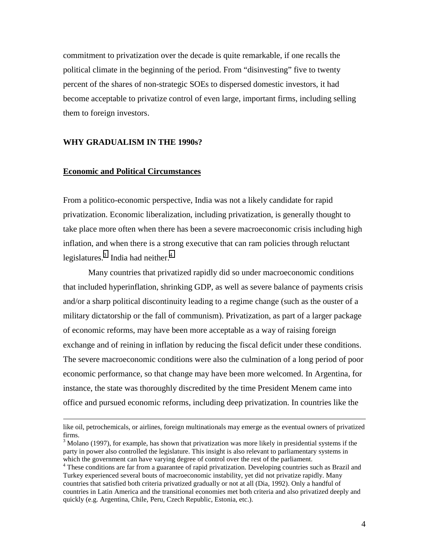commitment to privatization over the decade is quite remarkable, if one recalls the political climate in the beginning of the period. From "disinvesting" five to twenty percent of the shares of non-strategic SOEs to dispersed domestic investors, it had become acceptable to privatize control of even large, important firms, including selling them to foreign investors.

### **WHY GRADUALISM IN THE 1990s?**

#### **Economic and Political Circumstances**

From a politico-economic perspective, India was not a likely candidate for rapid privatization. Economic liberalization, including privatization, is generally thought to take place more often when there has been a severe macroeconomic crisis including high inflation, and when there is a strong executive that can ram policies through reluctant legislatures.<sup>3</sup> India had neither.<sup>4</sup>

 Many countries that privatized rapidly did so under macroeconomic conditions that included hyperinflation, shrinking GDP, as well as severe balance of payments crisis and/or a sharp political discontinuity leading to a regime change (such as the ouster of a military dictatorship or the fall of communism). Privatization, as part of a larger package of economic reforms, may have been more acceptable as a way of raising foreign exchange and of reining in inflation by reducing the fiscal deficit under these conditions. The severe macroeconomic conditions were also the culmination of a long period of poor economic performance, so that change may have been more welcomed. In Argentina, for instance, the state was thoroughly discredited by the time President Menem came into office and pursued economic reforms, including deep privatization. In countries like the

like oil, petrochemicals, or airlines, foreign multinationals may emerge as the eventual owners of privatized firms.

 $3$  Molano (1997), for example, has shown that privatization was more likely in presidential systems if the party in power also controlled the legislature. This insight is also relevant to parliamentary systems in which the government can have varying degree of control over the rest of the parliament.

<sup>&</sup>lt;sup>4</sup> These conditions are far from a guarantee of rapid privatization. Developing countries such as Brazil and Turkey experienced several bouts of macroeconomic instability, yet did not privatize rapidly. Many countries that satisfied both criteria privatized gradually or not at all (Dia, 1992). Only a handful of countries in Latin America and the transitional economies met both criteria and also privatized deeply and quickly (e.g. Argentina, Chile, Peru, Czech Republic, Estonia, etc.).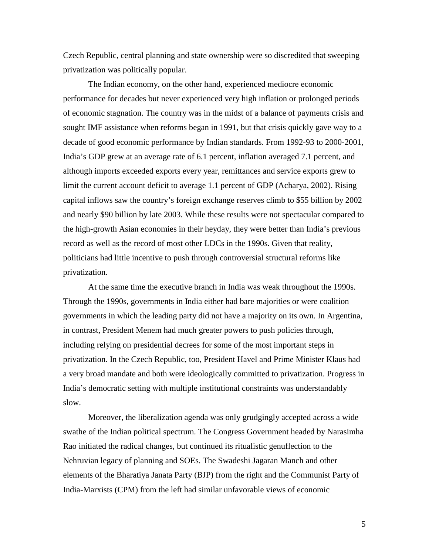Czech Republic, central planning and state ownership were so discredited that sweeping privatization was politically popular.

The Indian economy, on the other hand, experienced mediocre economic performance for decades but never experienced very high inflation or prolonged periods of economic stagnation. The country was in the midst of a balance of payments crisis and sought IMF assistance when reforms began in 1991, but that crisis quickly gave way to a decade of good economic performance by Indian standards. From 1992-93 to 2000-2001, India's GDP grew at an average rate of 6.1 percent, inflation averaged 7.1 percent, and although imports exceeded exports every year, remittances and service exports grew to limit the current account deficit to average 1.1 percent of GDP (Acharya, 2002). Rising capital inflows saw the country's foreign exchange reserves climb to \$55 billion by 2002 and nearly \$90 billion by late 2003. While these results were not spectacular compared to the high-growth Asian economies in their heyday, they were better than India's previous record as well as the record of most other LDCs in the 1990s. Given that reality, politicians had little incentive to push through controversial structural reforms like privatization.

 At the same time the executive branch in India was weak throughout the 1990s. Through the 1990s, governments in India either had bare majorities or were coalition governments in which the leading party did not have a majority on its own. In Argentina, in contrast, President Menem had much greater powers to push policies through, including relying on presidential decrees for some of the most important steps in privatization. In the Czech Republic, too, President Havel and Prime Minister Klaus had a very broad mandate and both were ideologically committed to privatization. Progress in India's democratic setting with multiple institutional constraints was understandably slow.

Moreover, the liberalization agenda was only grudgingly accepted across a wide swathe of the Indian political spectrum. The Congress Government headed by Narasimha Rao initiated the radical changes, but continued its ritualistic genuflection to the Nehruvian legacy of planning and SOEs. The Swadeshi Jagaran Manch and other elements of the Bharatiya Janata Party (BJP) from the right and the Communist Party of India-Marxists (CPM) from the left had similar unfavorable views of economic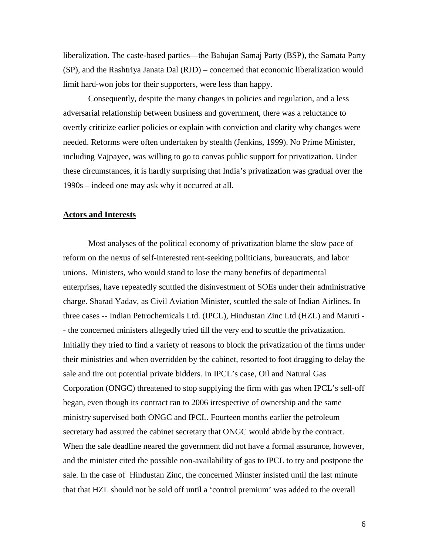liberalization. The caste-based parties—the Bahujan Samaj Party (BSP), the Samata Party (SP), and the Rashtriya Janata Dal (RJD) – concerned that economic liberalization would limit hard-won jobs for their supporters, were less than happy.

Consequently, despite the many changes in policies and regulation, and a less adversarial relationship between business and government, there was a reluctance to overtly criticize earlier policies or explain with conviction and clarity why changes were needed. Reforms were often undertaken by stealth (Jenkins, 1999). No Prime Minister, including Vajpayee, was willing to go to canvas public support for privatization. Under these circumstances, it is hardly surprising that India's privatization was gradual over the 1990s – indeed one may ask why it occurred at all.

#### **Actors and Interests**

Most analyses of the political economy of privatization blame the slow pace of reform on the nexus of self-interested rent-seeking politicians, bureaucrats, and labor unions. Ministers, who would stand to lose the many benefits of departmental enterprises, have repeatedly scuttled the disinvestment of SOEs under their administrative charge. Sharad Yadav, as Civil Aviation Minister, scuttled the sale of Indian Airlines. In three cases -- Indian Petrochemicals Ltd. (IPCL), Hindustan Zinc Ltd (HZL) and Maruti - - the concerned ministers allegedly tried till the very end to scuttle the privatization. Initially they tried to find a variety of reasons to block the privatization of the firms under their ministries and when overridden by the cabinet, resorted to foot dragging to delay the sale and tire out potential private bidders. In IPCL's case, Oil and Natural Gas Corporation (ONGC) threatened to stop supplying the firm with gas when IPCL's sell-off began, even though its contract ran to 2006 irrespective of ownership and the same ministry supervised both ONGC and IPCL. Fourteen months earlier the petroleum secretary had assured the cabinet secretary that ONGC would abide by the contract. When the sale deadline neared the government did not have a formal assurance, however, and the minister cited the possible non-availability of gas to IPCL to try and postpone the sale. In the case of Hindustan Zinc, the concerned Minster insisted until the last minute that that HZL should not be sold off until a 'control premium' was added to the overall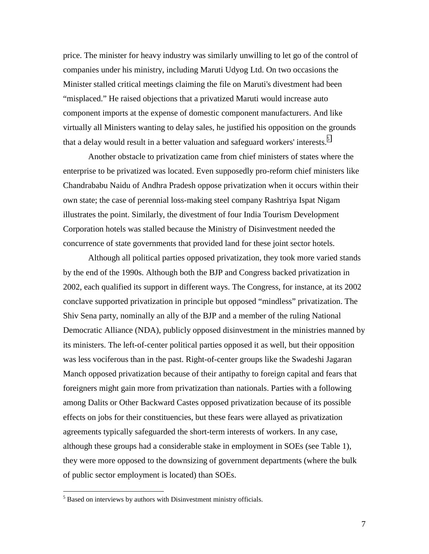price. The minister for heavy industry was similarly unwilling to let go of the control of companies under his ministry, including Maruti Udyog Ltd. On two occasions the Minister stalled critical meetings claiming the file on Maruti's divestment had been "misplaced." He raised objections that a privatized Maruti would increase auto component imports at the expense of domestic component manufacturers. And like virtually all Ministers wanting to delay sales, he justified his opposition on the grounds that a delay would result in a better valuation and safeguard workers' interests.<sup>5</sup>

Another obstacle to privatization came from chief ministers of states where the enterprise to be privatized was located. Even supposedly pro-reform chief ministers like Chandrababu Naidu of Andhra Pradesh oppose privatization when it occurs within their own state; the case of perennial loss-making steel company Rashtriya Ispat Nigam illustrates the point. Similarly, the divestment of four India Tourism Development Corporation hotels was stalled because the Ministry of Disinvestment needed the concurrence of state governments that provided land for these joint sector hotels.

Although all political parties opposed privatization, they took more varied stands by the end of the 1990s. Although both the BJP and Congress backed privatization in 2002, each qualified its support in different ways. The Congress, for instance, at its 2002 conclave supported privatization in principle but opposed "mindless" privatization. The Shiv Sena party, nominally an ally of the BJP and a member of the ruling National Democratic Alliance (NDA), publicly opposed disinvestment in the ministries manned by its ministers. The left-of-center political parties opposed it as well, but their opposition was less vociferous than in the past. Right-of-center groups like the Swadeshi Jagaran Manch opposed privatization because of their antipathy to foreign capital and fears that foreigners might gain more from privatization than nationals. Parties with a following among Dalits or Other Backward Castes opposed privatization because of its possible effects on jobs for their constituencies, but these fears were allayed as privatization agreements typically safeguarded the short-term interests of workers. In any case, although these groups had a considerable stake in employment in SOEs (see Table 1), they were more opposed to the downsizing of government departments (where the bulk of public sector employment is located) than SOEs.

<sup>&</sup>lt;sup>5</sup> Based on interviews by authors with Disinvestment ministry officials.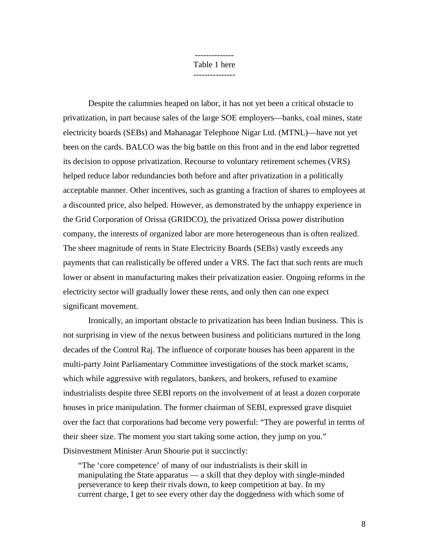## Table 1 here ---------------

Despite the calumnies heaped on labor, it has not yet been a critical obstacle to privatization, in part because sales of the large SOE employers—banks, coal mines, state electricity boards (SEBs) and Mahanagar Telephone Nigar Ltd. (MTNL)—have not yet been on the cards. BALCO was the big battle on this front and in the end labor regretted its decision to oppose privatization. Recourse to voluntary retirement schemes (VRS) helped reduce labor redundancies both before and after privatization in a politically acceptable manner. Other incentives, such as granting a fraction of shares to employees at a discounted price, also helped. However, as demonstrated by the unhappy experience in the Grid Corporation of Orissa (GRIDCO), the privatized Orissa power distribution company, the interests of organized labor are more heterogeneous than is often realized. The sheer magnitude of rents in State Electricity Boards (SEBs) vastly exceeds any payments that can realistically be offered under a VRS. The fact that such rents are much lower or absent in manufacturing makes their privatization easier. Ongoing reforms in the electricity sector will gradually lower these rents, and only then can one expect significant movement.

 Ironically, an important obstacle to privatization has been Indian business. This is not surprising in view of the nexus between business and politicians nurtured in the long decades of the Control Raj. The influence of corporate houses has been apparent in the multi-party Joint Parliamentary Committee investigations of the stock market scams, which while aggressive with regulators, bankers, and brokers, refused to examine industrialists despite three SEBI reports on the involvement of at least a dozen corporate houses in price manipulation. The former chairman of SEBI, expressed grave disquiet over the fact that corporations had become very powerful: "They are powerful in terms of their sheer size. The moment you start taking some action, they jump on you." Disinvestment Minister Arun Shourie put it succinctly:

"The 'core competence' of many of our industrialists is their skill in manipulating the State apparatus — a skill that they deploy with single-minded perseverance to keep their rivals down, to keep competition at bay. In my current charge, I get to see every other day the doggedness with which some of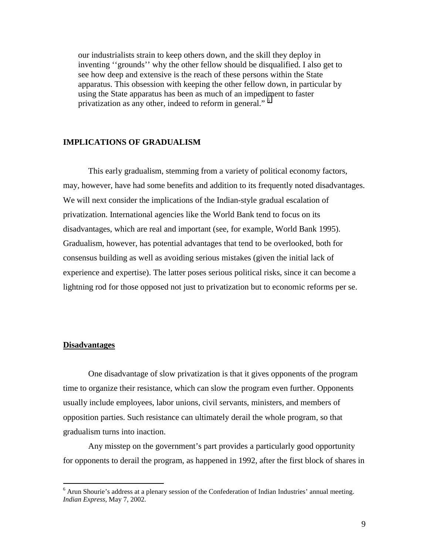our industrialists strain to keep others down, and the skill they deploy in inventing ''grounds'' why the other fellow should be disqualified. I also get to see how deep and extensive is the reach of these persons within the State apparatus. This obsession with keeping the other fellow down, in particular by using the State apparatus has been as much of an impediment to faster privatization as any other, indeed to reform in general." <sup>6</sup>

### **IMPLICATIONS OF GRADUALISM**

This early gradualism, stemming from a variety of political economy factors, may, however, have had some benefits and addition to its frequently noted disadvantages. We will next consider the implications of the Indian-style gradual escalation of privatization. International agencies like the World Bank tend to focus on its disadvantages, which are real and important (see, for example, World Bank 1995). Gradualism, however, has potential advantages that tend to be overlooked, both for consensus building as well as avoiding serious mistakes (given the initial lack of experience and expertise). The latter poses serious political risks, since it can become a lightning rod for those opposed not just to privatization but to economic reforms per se.

#### **Disadvantages**

 $\overline{a}$ 

 One disadvantage of slow privatization is that it gives opponents of the program time to organize their resistance, which can slow the program even further. Opponents usually include employees, labor unions, civil servants, ministers, and members of opposition parties. Such resistance can ultimately derail the whole program, so that gradualism turns into inaction.

Any misstep on the government's part provides a particularly good opportunity for opponents to derail the program, as happened in 1992, after the first block of shares in

<sup>&</sup>lt;sup>6</sup> Arun Shourie's address at a plenary session of the Confederation of Indian Industries' annual meeting. *Indian Express*, May 7, 2002.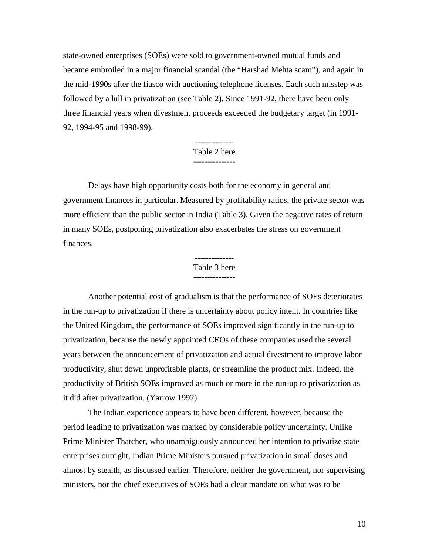state-owned enterprises (SOEs) were sold to government-owned mutual funds and became embroiled in a major financial scandal (the "Harshad Mehta scam"), and again in the mid-1990s after the fiasco with auctioning telephone licenses. Each such misstep was followed by a lull in privatization (see Table 2). Since 1991-92, there have been only three financial years when divestment proceeds exceeded the budgetary target (in 1991- 92, 1994-95 and 1998-99).

### -------------- Table 2 here ---------------

Delays have high opportunity costs both for the economy in general and government finances in particular. Measured by profitability ratios, the private sector was more efficient than the public sector in India (Table 3). Given the negative rates of return in many SOEs, postponing privatization also exacerbates the stress on government finances.

#### -------------- Table 3 here ---------------

 Another potential cost of gradualism is that the performance of SOEs deteriorates in the run-up to privatization if there is uncertainty about policy intent. In countries like the United Kingdom, the performance of SOEs improved significantly in the run-up to privatization, because the newly appointed CEOs of these companies used the several years between the announcement of privatization and actual divestment to improve labor productivity, shut down unprofitable plants, or streamline the product mix. Indeed, the productivity of British SOEs improved as much or more in the run-up to privatization as it did after privatization. (Yarrow 1992)

The Indian experience appears to have been different, however, because the period leading to privatization was marked by considerable policy uncertainty. Unlike Prime Minister Thatcher, who unambiguously announced her intention to privatize state enterprises outright, Indian Prime Ministers pursued privatization in small doses and almost by stealth, as discussed earlier. Therefore, neither the government, nor supervising ministers, nor the chief executives of SOEs had a clear mandate on what was to be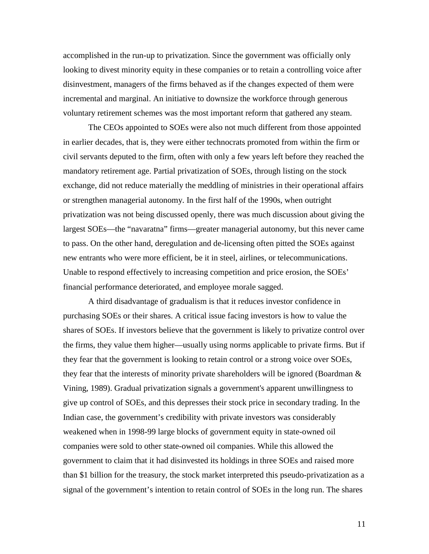accomplished in the run-up to privatization. Since the government was officially only looking to divest minority equity in these companies or to retain a controlling voice after disinvestment, managers of the firms behaved as if the changes expected of them were incremental and marginal. An initiative to downsize the workforce through generous voluntary retirement schemes was the most important reform that gathered any steam.

The CEOs appointed to SOEs were also not much different from those appointed in earlier decades, that is, they were either technocrats promoted from within the firm or civil servants deputed to the firm, often with only a few years left before they reached the mandatory retirement age. Partial privatization of SOEs, through listing on the stock exchange, did not reduce materially the meddling of ministries in their operational affairs or strengthen managerial autonomy. In the first half of the 1990s, when outright privatization was not being discussed openly, there was much discussion about giving the largest SOEs—the "navaratna" firms—greater managerial autonomy, but this never came to pass. On the other hand, deregulation and de-licensing often pitted the SOEs against new entrants who were more efficient, be it in steel, airlines, or telecommunications. Unable to respond effectively to increasing competition and price erosion, the SOEs' financial performance deteriorated, and employee morale sagged.

A third disadvantage of gradualism is that it reduces investor confidence in purchasing SOEs or their shares. A critical issue facing investors is how to value the shares of SOEs. If investors believe that the government is likely to privatize control over the firms, they value them higher—usually using norms applicable to private firms. But if they fear that the government is looking to retain control or a strong voice over SOEs, they fear that the interests of minority private shareholders will be ignored (Boardman  $\&$ Vining, 1989). Gradual privatization signals a government's apparent unwillingness to give up control of SOEs, and this depresses their stock price in secondary trading. In the Indian case, the government's credibility with private investors was considerably weakened when in 1998-99 large blocks of government equity in state-owned oil companies were sold to other state-owned oil companies. While this allowed the government to claim that it had disinvested its holdings in three SOEs and raised more than \$1 billion for the treasury, the stock market interpreted this pseudo-privatization as a signal of the government's intention to retain control of SOEs in the long run. The shares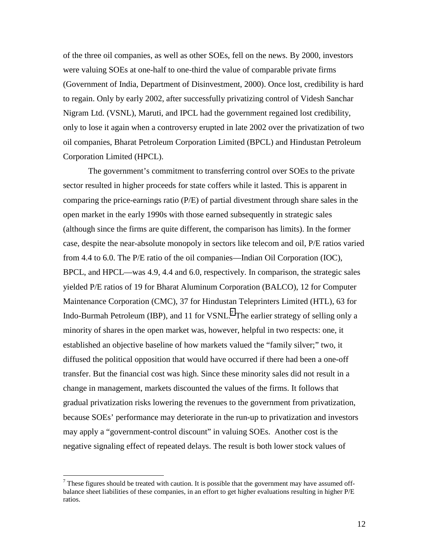of the three oil companies, as well as other SOEs, fell on the news. By 2000, investors were valuing SOEs at one-half to one-third the value of comparable private firms (Government of India, Department of Disinvestment, 2000). Once lost, credibility is hard to regain. Only by early 2002, after successfully privatizing control of Videsh Sanchar Nigram Ltd. (VSNL), Maruti, and IPCL had the government regained lost credibility, only to lose it again when a controversy erupted in late 2002 over the privatization of two oil companies, Bharat Petroleum Corporation Limited (BPCL) and Hindustan Petroleum Corporation Limited (HPCL).

The government's commitment to transferring control over SOEs to the private sector resulted in higher proceeds for state coffers while it lasted. This is apparent in comparing the price-earnings ratio (P/E) of partial divestment through share sales in the open market in the early 1990s with those earned subsequently in strategic sales (although since the firms are quite different, the comparison has limits). In the former case, despite the near-absolute monopoly in sectors like telecom and oil, P/E ratios varied from 4.4 to 6.0. The P/E ratio of the oil companies—Indian Oil Corporation (IOC), BPCL, and HPCL—was 4.9, 4.4 and 6.0, respectively. In comparison, the strategic sales yielded P/E ratios of 19 for Bharat Aluminum Corporation (BALCO), 12 for Computer Maintenance Corporation (CMC), 37 for Hindustan Teleprinters Limited (HTL), 63 for Indo-Burmah Petroleum (IBP), and 11 for VSNL.<sup>7</sup> The earlier strategy of selling only a minority of shares in the open market was, however, helpful in two respects: one, it established an objective baseline of how markets valued the "family silver;" two, it diffused the political opposition that would have occurred if there had been a one-off transfer. But the financial cost was high. Since these minority sales did not result in a change in management, markets discounted the values of the firms. It follows that gradual privatization risks lowering the revenues to the government from privatization, because SOEs' performance may deteriorate in the run-up to privatization and investors may apply a "government-control discount" in valuing SOEs. Another cost is the negative signaling effect of repeated delays. The result is both lower stock values of

 $<sup>7</sup>$  These figures should be treated with caution. It is possible that the government may have assumed off-</sup> balance sheet liabilities of these companies, in an effort to get higher evaluations resulting in higher P/E ratios.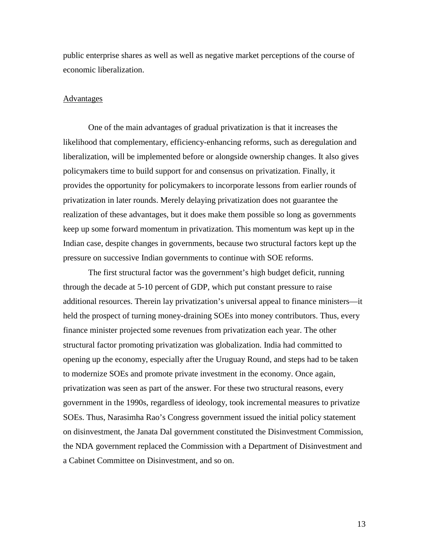public enterprise shares as well as well as negative market perceptions of the course of economic liberalization.

### Advantages

 One of the main advantages of gradual privatization is that it increases the likelihood that complementary, efficiency-enhancing reforms, such as deregulation and liberalization, will be implemented before or alongside ownership changes. It also gives policymakers time to build support for and consensus on privatization. Finally, it provides the opportunity for policymakers to incorporate lessons from earlier rounds of privatization in later rounds. Merely delaying privatization does not guarantee the realization of these advantages, but it does make them possible so long as governments keep up some forward momentum in privatization. This momentum was kept up in the Indian case, despite changes in governments, because two structural factors kept up the pressure on successive Indian governments to continue with SOE reforms.

 The first structural factor was the government's high budget deficit, running through the decade at 5-10 percent of GDP, which put constant pressure to raise additional resources. Therein lay privatization's universal appeal to finance ministers—it held the prospect of turning money-draining SOEs into money contributors. Thus, every finance minister projected some revenues from privatization each year. The other structural factor promoting privatization was globalization. India had committed to opening up the economy, especially after the Uruguay Round, and steps had to be taken to modernize SOEs and promote private investment in the economy. Once again, privatization was seen as part of the answer. For these two structural reasons, every government in the 1990s, regardless of ideology, took incremental measures to privatize SOEs. Thus, Narasimha Rao's Congress government issued the initial policy statement on disinvestment, the Janata Dal government constituted the Disinvestment Commission, the NDA government replaced the Commission with a Department of Disinvestment and a Cabinet Committee on Disinvestment, and so on.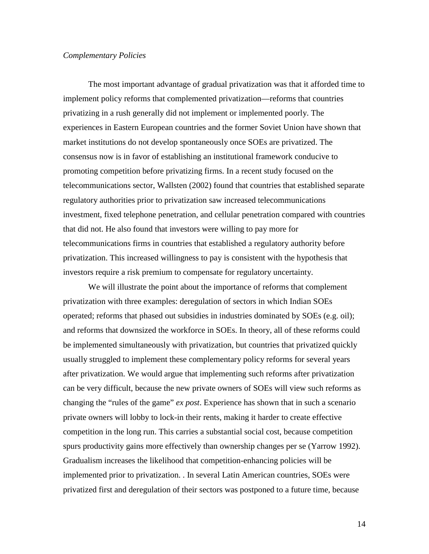## *Complementary Policies*

The most important advantage of gradual privatization was that it afforded time to implement policy reforms that complemented privatization—reforms that countries privatizing in a rush generally did not implement or implemented poorly. The experiences in Eastern European countries and the former Soviet Union have shown that market institutions do not develop spontaneously once SOEs are privatized. The consensus now is in favor of establishing an institutional framework conducive to promoting competition before privatizing firms. In a recent study focused on the telecommunications sector, Wallsten (2002) found that countries that established separate regulatory authorities prior to privatization saw increased telecommunications investment, fixed telephone penetration, and cellular penetration compared with countries that did not. He also found that investors were willing to pay more for telecommunications firms in countries that established a regulatory authority before privatization. This increased willingness to pay is consistent with the hypothesis that investors require a risk premium to compensate for regulatory uncertainty.

We will illustrate the point about the importance of reforms that complement privatization with three examples: deregulation of sectors in which Indian SOEs operated; reforms that phased out subsidies in industries dominated by SOEs (e.g. oil); and reforms that downsized the workforce in SOEs. In theory, all of these reforms could be implemented simultaneously with privatization, but countries that privatized quickly usually struggled to implement these complementary policy reforms for several years after privatization. We would argue that implementing such reforms after privatization can be very difficult, because the new private owners of SOEs will view such reforms as changing the "rules of the game" *ex post*. Experience has shown that in such a scenario private owners will lobby to lock-in their rents, making it harder to create effective competition in the long run. This carries a substantial social cost, because competition spurs productivity gains more effectively than ownership changes per se (Yarrow 1992). Gradualism increases the likelihood that competition-enhancing policies will be implemented prior to privatization. . In several Latin American countries, SOEs were privatized first and deregulation of their sectors was postponed to a future time, because

14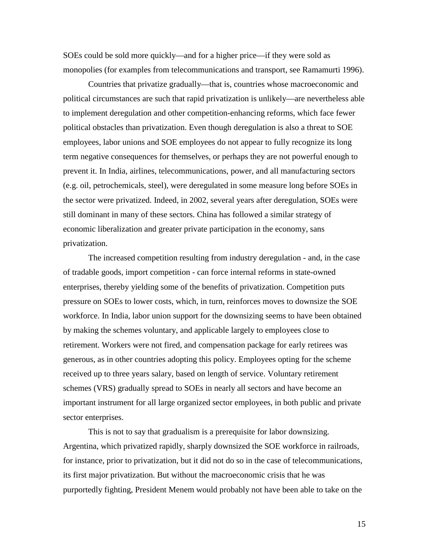SOEs could be sold more quickly—and for a higher price—if they were sold as monopolies (for examples from telecommunications and transport, see Ramamurti 1996).

Countries that privatize gradually—that is, countries whose macroeconomic and political circumstances are such that rapid privatization is unlikely—are nevertheless able to implement deregulation and other competition-enhancing reforms, which face fewer political obstacles than privatization. Even though deregulation is also a threat to SOE employees, labor unions and SOE employees do not appear to fully recognize its long term negative consequences for themselves, or perhaps they are not powerful enough to prevent it. In India, airlines, telecommunications, power, and all manufacturing sectors (e.g. oil, petrochemicals, steel), were deregulated in some measure long before SOEs in the sector were privatized. Indeed, in 2002, several years after deregulation, SOEs were still dominant in many of these sectors. China has followed a similar strategy of economic liberalization and greater private participation in the economy, sans privatization.

The increased competition resulting from industry deregulation - and, in the case of tradable goods, import competition - can force internal reforms in state-owned enterprises, thereby yielding some of the benefits of privatization. Competition puts pressure on SOEs to lower costs, which, in turn, reinforces moves to downsize the SOE workforce. In India, labor union support for the downsizing seems to have been obtained by making the schemes voluntary, and applicable largely to employees close to retirement. Workers were not fired, and compensation package for early retirees was generous, as in other countries adopting this policy. Employees opting for the scheme received up to three years salary, based on length of service. Voluntary retirement schemes (VRS) gradually spread to SOEs in nearly all sectors and have become an important instrument for all large organized sector employees, in both public and private sector enterprises.

This is not to say that gradualism is a prerequisite for labor downsizing. Argentina, which privatized rapidly, sharply downsized the SOE workforce in railroads, for instance, prior to privatization, but it did not do so in the case of telecommunications, its first major privatization. But without the macroeconomic crisis that he was purportedly fighting, President Menem would probably not have been able to take on the

15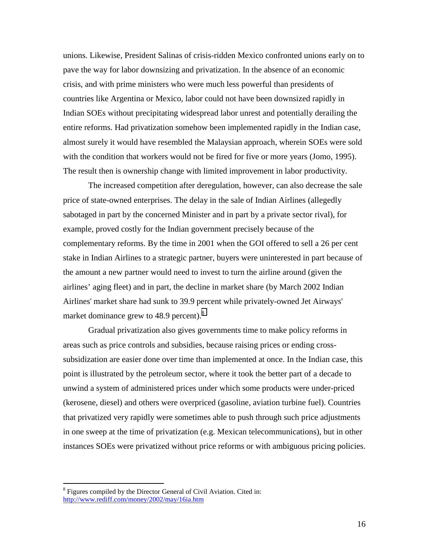unions. Likewise, President Salinas of crisis-ridden Mexico confronted unions early on to pave the way for labor downsizing and privatization. In the absence of an economic crisis, and with prime ministers who were much less powerful than presidents of countries like Argentina or Mexico, labor could not have been downsized rapidly in Indian SOEs without precipitating widespread labor unrest and potentially derailing the entire reforms. Had privatization somehow been implemented rapidly in the Indian case, almost surely it would have resembled the Malaysian approach, wherein SOEs were sold with the condition that workers would not be fired for five or more years (Jomo, 1995). The result then is ownership change with limited improvement in labor productivity.

The increased competition after deregulation, however, can also decrease the sale price of state-owned enterprises. The delay in the sale of Indian Airlines (allegedly sabotaged in part by the concerned Minister and in part by a private sector rival), for example, proved costly for the Indian government precisely because of the complementary reforms. By the time in 2001 when the GOI offered to sell a 26 per cent stake in Indian Airlines to a strategic partner, buyers were uninterested in part because of the amount a new partner would need to invest to turn the airline around (given the airlines' aging fleet) and in part, the decline in market share (by March 2002 Indian Airlines' market share had sunk to 39.9 percent while privately-owned Jet Airways' market dominance grew to 48.9 percent). $8<sup>8</sup>$ 

Gradual privatization also gives governments time to make policy reforms in areas such as price controls and subsidies, because raising prices or ending crosssubsidization are easier done over time than implemented at once. In the Indian case, this point is illustrated by the petroleum sector, where it took the better part of a decade to unwind a system of administered prices under which some products were under-priced (kerosene, diesel) and others were overpriced (gasoline, aviation turbine fuel). Countries that privatized very rapidly were sometimes able to push through such price adjustments in one sweep at the time of privatization (e.g. Mexican telecommunications), but in other instances SOEs were privatized without price reforms or with ambiguous pricing policies.

<sup>&</sup>lt;sup>8</sup> Figures compiled by the Director General of Civil Aviation. Cited in: http://www.rediff.com/money/2002/may/16ia.htm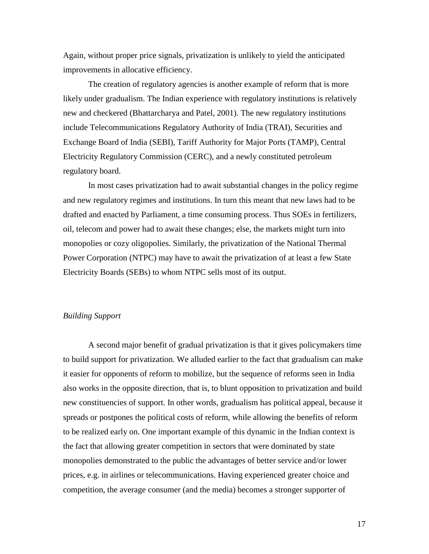Again, without proper price signals, privatization is unlikely to yield the anticipated improvements in allocative efficiency.

The creation of regulatory agencies is another example of reform that is more likely under gradualism. The Indian experience with regulatory institutions is relatively new and checkered (Bhattarcharya and Patel, 2001). The new regulatory institutions include Telecommunications Regulatory Authority of India (TRAI), Securities and Exchange Board of India (SEBI), Tariff Authority for Major Ports (TAMP), Central Electricity Regulatory Commission (CERC), and a newly constituted petroleum regulatory board.

In most cases privatization had to await substantial changes in the policy regime and new regulatory regimes and institutions. In turn this meant that new laws had to be drafted and enacted by Parliament, a time consuming process. Thus SOEs in fertilizers, oil, telecom and power had to await these changes; else, the markets might turn into monopolies or cozy oligopolies. Similarly, the privatization of the National Thermal Power Corporation (NTPC) may have to await the privatization of at least a few State Electricity Boards (SEBs) to whom NTPC sells most of its output.

## *Building Support*

A second major benefit of gradual privatization is that it gives policymakers time to build support for privatization. We alluded earlier to the fact that gradualism can make it easier for opponents of reform to mobilize, but the sequence of reforms seen in India also works in the opposite direction, that is, to blunt opposition to privatization and build new constituencies of support. In other words, gradualism has political appeal, because it spreads or postpones the political costs of reform, while allowing the benefits of reform to be realized early on. One important example of this dynamic in the Indian context is the fact that allowing greater competition in sectors that were dominated by state monopolies demonstrated to the public the advantages of better service and/or lower prices, e.g. in airlines or telecommunications. Having experienced greater choice and competition, the average consumer (and the media) becomes a stronger supporter of

17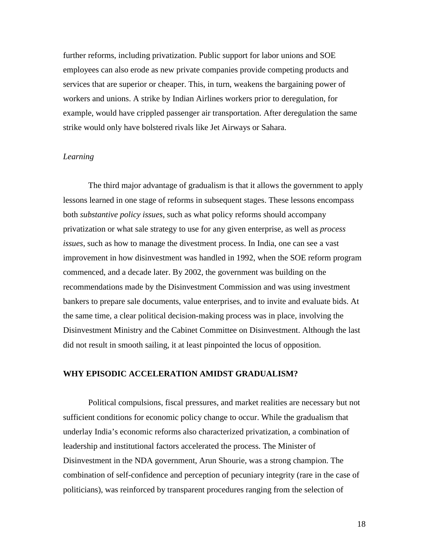further reforms, including privatization. Public support for labor unions and SOE employees can also erode as new private companies provide competing products and services that are superior or cheaper. This, in turn, weakens the bargaining power of workers and unions. A strike by Indian Airlines workers prior to deregulation, for example, would have crippled passenger air transportation. After deregulation the same strike would only have bolstered rivals like Jet Airways or Sahara.

#### *Learning*

The third major advantage of gradualism is that it allows the government to apply lessons learned in one stage of reforms in subsequent stages. These lessons encompass both *substantive policy issues*, such as what policy reforms should accompany privatization or what sale strategy to use for any given enterprise, as well as *process issues*, such as how to manage the divestment process. In India, one can see a vast improvement in how disinvestment was handled in 1992, when the SOE reform program commenced, and a decade later. By 2002, the government was building on the recommendations made by the Disinvestment Commission and was using investment bankers to prepare sale documents, value enterprises, and to invite and evaluate bids. At the same time, a clear political decision-making process was in place, involving the Disinvestment Ministry and the Cabinet Committee on Disinvestment. Although the last did not result in smooth sailing, it at least pinpointed the locus of opposition.

## **WHY EPISODIC ACCELERATION AMIDST GRADUALISM?**

Political compulsions, fiscal pressures, and market realities are necessary but not sufficient conditions for economic policy change to occur. While the gradualism that underlay India's economic reforms also characterized privatization, a combination of leadership and institutional factors accelerated the process. The Minister of Disinvestment in the NDA government, Arun Shourie, was a strong champion. The combination of self-confidence and perception of pecuniary integrity (rare in the case of politicians), was reinforced by transparent procedures ranging from the selection of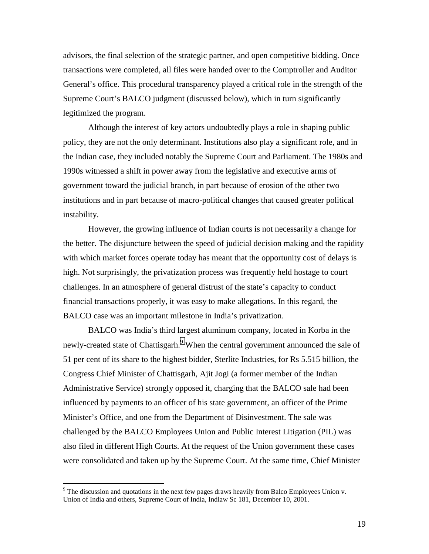advisors, the final selection of the strategic partner, and open competitive bidding. Once transactions were completed, all files were handed over to the Comptroller and Auditor General's office. This procedural transparency played a critical role in the strength of the Supreme Court's BALCO judgment (discussed below), which in turn significantly legitimized the program.

 Although the interest of key actors undoubtedly plays a role in shaping public policy, they are not the only determinant. Institutions also play a significant role, and in the Indian case, they included notably the Supreme Court and Parliament. The 1980s and 1990s witnessed a shift in power away from the legislative and executive arms of government toward the judicial branch, in part because of erosion of the other two institutions and in part because of macro-political changes that caused greater political instability.

However, the growing influence of Indian courts is not necessarily a change for the better. The disjuncture between the speed of judicial decision making and the rapidity with which market forces operate today has meant that the opportunity cost of delays is high. Not surprisingly, the privatization process was frequently held hostage to court challenges. In an atmosphere of general distrust of the state's capacity to conduct financial transactions properly, it was easy to make allegations. In this regard, the BALCO case was an important milestone in India's privatization.

BALCO was India's third largest aluminum company, located in Korba in the newly-created state of Chattisgarh.<sup>9</sup> When the central government announced the sale of 51 per cent of its share to the highest bidder, Sterlite Industries, for Rs 5.515 billion, the Congress Chief Minister of Chattisgarh, Ajit Jogi (a former member of the Indian Administrative Service) strongly opposed it, charging that the BALCO sale had been influenced by payments to an officer of his state government, an officer of the Prime Minister's Office, and one from the Department of Disinvestment. The sale was challenged by the BALCO Employees Union and Public Interest Litigation (PIL) was also filed in different High Courts. At the request of the Union government these cases were consolidated and taken up by the Supreme Court. At the same time, Chief Minister

<sup>&</sup>lt;sup>9</sup> The discussion and quotations in the next few pages draws heavily from Balco Employees Union v. Union of India and others, Supreme Court of India, Indlaw Sc 181, December 10, 2001.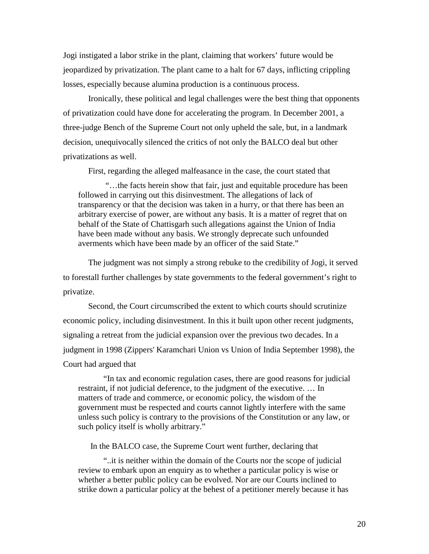Jogi instigated a labor strike in the plant, claiming that workers' future would be jeopardized by privatization. The plant came to a halt for 67 days, inflicting crippling losses, especially because alumina production is a continuous process.

 Ironically, these political and legal challenges were the best thing that opponents of privatization could have done for accelerating the program. In December 2001, a three-judge Bench of the Supreme Court not only upheld the sale, but, in a landmark decision, unequivocally silenced the critics of not only the BALCO deal but other privatizations as well.

First, regarding the alleged malfeasance in the case, the court stated that

 "…the facts herein show that fair, just and equitable procedure has been followed in carrying out this disinvestment. The allegations of lack of transparency or that the decision was taken in a hurry, or that there has been an arbitrary exercise of power, are without any basis. It is a matter of regret that on behalf of the State of Chattisgarh such allegations against the Union of India have been made without any basis. We strongly deprecate such unfounded averments which have been made by an officer of the said State."

The judgment was not simply a strong rebuke to the credibility of Jogi, it served to forestall further challenges by state governments to the federal government's right to privatize.

Second, the Court circumscribed the extent to which courts should scrutinize economic policy, including disinvestment. In this it built upon other recent judgments, signaling a retreat from the judicial expansion over the previous two decades. In a judgment in 1998 (Zippers' Karamchari Union vs Union of India September 1998), the Court had argued that

"In tax and economic regulation cases, there are good reasons for judicial restraint, if not judicial deference, to the judgment of the executive. … In matters of trade and commerce, or economic policy, the wisdom of the government must be respected and courts cannot lightly interfere with the same unless such policy is contrary to the provisions of the Constitution or any law, or such policy itself is wholly arbitrary."

In the BALCO case, the Supreme Court went further, declaring that

"..it is neither within the domain of the Courts nor the scope of judicial review to embark upon an enquiry as to whether a particular policy is wise or whether a better public policy can be evolved. Nor are our Courts inclined to strike down a particular policy at the behest of a petitioner merely because it has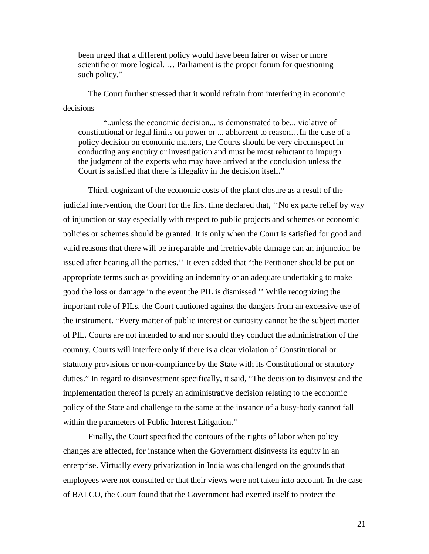been urged that a different policy would have been fairer or wiser or more scientific or more logical. … Parliament is the proper forum for questioning such policy."

The Court further stressed that it would refrain from interfering in economic decisions

"..unless the economic decision... is demonstrated to be... violative of constitutional or legal limits on power or ... abhorrent to reason…In the case of a policy decision on economic matters, the Courts should be very circumspect in conducting any enquiry or investigation and must be most reluctant to impugn the judgment of the experts who may have arrived at the conclusion unless the Court is satisfied that there is illegality in the decision itself."

Third, cognizant of the economic costs of the plant closure as a result of the judicial intervention, the Court for the first time declared that, ''No ex parte relief by way of injunction or stay especially with respect to public projects and schemes or economic policies or schemes should be granted. It is only when the Court is satisfied for good and valid reasons that there will be irreparable and irretrievable damage can an injunction be issued after hearing all the parties.'' It even added that "the Petitioner should be put on appropriate terms such as providing an indemnity or an adequate undertaking to make good the loss or damage in the event the PIL is dismissed.'' While recognizing the important role of PILs, the Court cautioned against the dangers from an excessive use of the instrument. "Every matter of public interest or curiosity cannot be the subject matter of PIL. Courts are not intended to and nor should they conduct the administration of the country. Courts will interfere only if there is a clear violation of Constitutional or statutory provisions or non-compliance by the State with its Constitutional or statutory duties." In regard to disinvestment specifically, it said, "The decision to disinvest and the implementation thereof is purely an administrative decision relating to the economic policy of the State and challenge to the same at the instance of a busy-body cannot fall within the parameters of Public Interest Litigation."

Finally, the Court specified the contours of the rights of labor when policy changes are affected, for instance when the Government disinvests its equity in an enterprise. Virtually every privatization in India was challenged on the grounds that employees were not consulted or that their views were not taken into account. In the case of BALCO, the Court found that the Government had exerted itself to protect the

21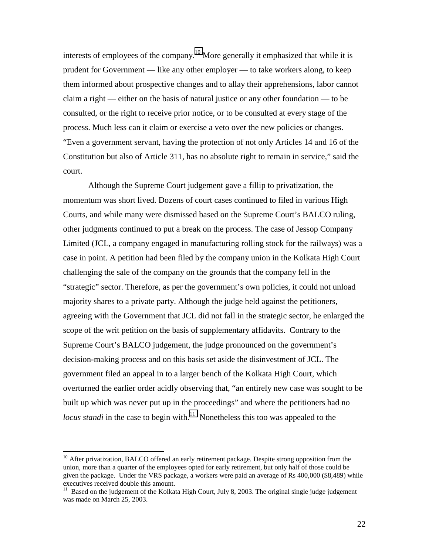interests of employees of the company.10 More generally it emphasized that while it is prudent for Government — like any other employer — to take workers along, to keep them informed about prospective changes and to allay their apprehensions, labor cannot claim a right — either on the basis of natural justice or any other foundation — to be consulted, or the right to receive prior notice, or to be consulted at every stage of the process. Much less can it claim or exercise a veto over the new policies or changes. "Even a government servant, having the protection of not only Articles 14 and 16 of the Constitution but also of Article 311, has no absolute right to remain in service," said the court.

Although the Supreme Court judgement gave a fillip to privatization, the momentum was short lived. Dozens of court cases continued to filed in various High Courts, and while many were dismissed based on the Supreme Court's BALCO ruling, other judgments continued to put a break on the process. The case of Jessop Company Limited (JCL, a company engaged in manufacturing rolling stock for the railways) was a case in point. A petition had been filed by the company union in the Kolkata High Court challenging the sale of the company on the grounds that the company fell in the "strategic" sector. Therefore, as per the government's own policies, it could not unload majority shares to a private party. Although the judge held against the petitioners, agreeing with the Government that JCL did not fall in the strategic sector, he enlarged the scope of the writ petition on the basis of supplementary affidavits. Contrary to the Supreme Court's BALCO judgement, the judge pronounced on the government's decision-making process and on this basis set aside the disinvestment of JCL. The government filed an appeal in to a larger bench of the Kolkata High Court, which overturned the earlier order acidly observing that, "an entirely new case was sought to be built up which was never put up in the proceedings" and where the petitioners had no *locus standi* in the case to begin with.<sup>11</sup> Nonetheless this too was appealed to the

<sup>&</sup>lt;sup>10</sup> After privatization, BALCO offered an early retirement package. Despite strong opposition from the union, more than a quarter of the employees opted for early retirement, but only half of those could be given the package. Under the VRS package, a workers were paid an average of Rs 400,000 (\$8,489) while executives received double this amount.

 $11$  Based on the judgement of the Kolkata High Court, July 8, 2003. The original single judge judgement was made on March 25, 2003.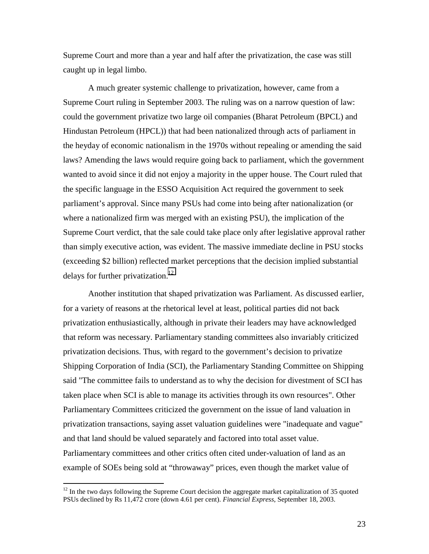Supreme Court and more than a year and half after the privatization, the case was still caught up in legal limbo.

A much greater systemic challenge to privatization, however, came from a Supreme Court ruling in September 2003. The ruling was on a narrow question of law: could the government privatize two large oil companies (Bharat Petroleum (BPCL) and Hindustan Petroleum (HPCL)) that had been nationalized through acts of parliament in the heyday of economic nationalism in the 1970s without repealing or amending the said laws? Amending the laws would require going back to parliament, which the government wanted to avoid since it did not enjoy a majority in the upper house. The Court ruled that the specific language in the ESSO Acquisition Act required the government to seek parliament's approval. Since many PSUs had come into being after nationalization (or where a nationalized firm was merged with an existing PSU), the implication of the Supreme Court verdict, that the sale could take place only after legislative approval rather than simply executive action, was evident. The massive immediate decline in PSU stocks (exceeding \$2 billion) reflected market perceptions that the decision implied substantial delays for further privatization.<sup>12</sup>

Another institution that shaped privatization was Parliament. As discussed earlier, for a variety of reasons at the rhetorical level at least, political parties did not back privatization enthusiastically, although in private their leaders may have acknowledged that reform was necessary. Parliamentary standing committees also invariably criticized privatization decisions. Thus, with regard to the government's decision to privatize Shipping Corporation of India (SCI), the Parliamentary Standing Committee on Shipping said "The committee fails to understand as to why the decision for divestment of SCI has taken place when SCI is able to manage its activities through its own resources". Other Parliamentary Committees criticized the government on the issue of land valuation in privatization transactions, saying asset valuation guidelines were "inadequate and vague" and that land should be valued separately and factored into total asset value. Parliamentary committees and other critics often cited under-valuation of land as an example of SOEs being sold at "throwaway" prices, even though the market value of

 $12$  In the two days following the Supreme Court decision the aggregate market capitalization of 35 quoted PSUs declined by Rs 11,472 crore (down 4.61 per cent). *Financial Express*, September 18, 2003.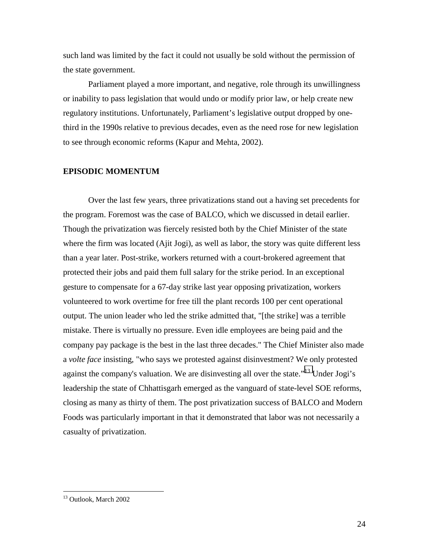such land was limited by the fact it could not usually be sold without the permission of the state government.

Parliament played a more important, and negative, role through its unwillingness or inability to pass legislation that would undo or modify prior law, or help create new regulatory institutions. Unfortunately, Parliament's legislative output dropped by onethird in the 1990s relative to previous decades, even as the need rose for new legislation to see through economic reforms (Kapur and Mehta, 2002).

## **EPISODIC MOMENTUM**

Over the last few years, three privatizations stand out a having set precedents for the program. Foremost was the case of BALCO, which we discussed in detail earlier. Though the privatization was fiercely resisted both by the Chief Minister of the state where the firm was located (Ajit Jogi), as well as labor, the story was quite different less than a year later. Post-strike, workers returned with a court-brokered agreement that protected their jobs and paid them full salary for the strike period. In an exceptional gesture to compensate for a 67-day strike last year opposing privatization, workers volunteered to work overtime for free till the plant records 100 per cent operational output. The union leader who led the strike admitted that, "[the strike] was a terrible mistake. There is virtually no pressure. Even idle employees are being paid and the company pay package is the best in the last three decades." The Chief Minister also made a *volte face* insisting, "who says we protested against disinvestment? We only protested against the company's valuation. We are disinvesting all over the state."<sup>13</sup> Under Jogi's leadership the state of Chhattisgarh emerged as the vanguard of state-level SOE reforms, closing as many as thirty of them. The post privatization success of BALCO and Modern Foods was particularly important in that it demonstrated that labor was not necessarily a casualty of privatization.

<sup>&</sup>lt;sup>13</sup> Outlook, March 2002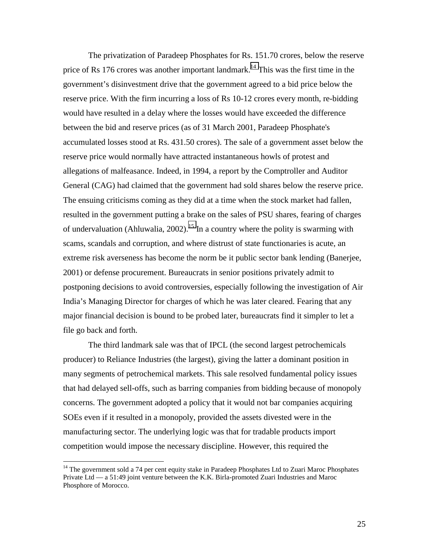The privatization of Paradeep Phosphates for Rs. 151.70 crores, below the reserve price of Rs 176 crores was another important landmark.<sup>14</sup> This was the first time in the government's disinvestment drive that the government agreed to a bid price below the reserve price. With the firm incurring a loss of Rs 10-12 crores every month, re-bidding would have resulted in a delay where the losses would have exceeded the difference between the bid and reserve prices (as of 31 March 2001, Paradeep Phosphate's accumulated losses stood at Rs. 431.50 crores). The sale of a government asset below the reserve price would normally have attracted instantaneous howls of protest and allegations of malfeasance. Indeed, in 1994, a report by the Comptroller and Auditor General (CAG) had claimed that the government had sold shares below the reserve price. The ensuing criticisms coming as they did at a time when the stock market had fallen, resulted in the government putting a brake on the sales of PSU shares, fearing of charges of undervaluation (Ahluwalia, 2002).<sup>15</sup> In a country where the polity is swarming with scams, scandals and corruption, and where distrust of state functionaries is acute, an extreme risk averseness has become the norm be it public sector bank lending (Banerjee, 2001) or defense procurement. Bureaucrats in senior positions privately admit to postponing decisions to avoid controversies, especially following the investigation of Air India's Managing Director for charges of which he was later cleared. Fearing that any major financial decision is bound to be probed later, bureaucrats find it simpler to let a file go back and forth.

The third landmark sale was that of IPCL (the second largest petrochemicals producer) to Reliance Industries (the largest), giving the latter a dominant position in many segments of petrochemical markets. This sale resolved fundamental policy issues that had delayed sell-offs, such as barring companies from bidding because of monopoly concerns. The government adopted a policy that it would not bar companies acquiring SOEs even if it resulted in a monopoly, provided the assets divested were in the manufacturing sector. The underlying logic was that for tradable products import competition would impose the necessary discipline. However, this required the

<sup>&</sup>lt;sup>14</sup> The government sold a 74 per cent equity stake in Paradeep Phosphates Ltd to Zuari Maroc Phosphates Private Ltd — a 51:49 joint venture between the K.K. Birla-promoted Zuari Industries and Maroc Phosphore of Morocco.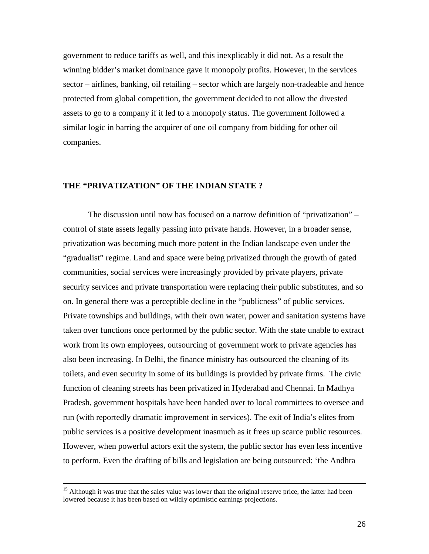government to reduce tariffs as well, and this inexplicably it did not. As a result the winning bidder's market dominance gave it monopoly profits. However, in the services sector – airlines, banking, oil retailing – sector which are largely non-tradeable and hence protected from global competition, the government decided to not allow the divested assets to go to a company if it led to a monopoly status. The government followed a similar logic in barring the acquirer of one oil company from bidding for other oil companies.

## **THE "PRIVATIZATION" OF THE INDIAN STATE ?**

The discussion until now has focused on a narrow definition of "privatization" – control of state assets legally passing into private hands. However, in a broader sense, privatization was becoming much more potent in the Indian landscape even under the "gradualist" regime. Land and space were being privatized through the growth of gated communities, social services were increasingly provided by private players, private security services and private transportation were replacing their public substitutes, and so on. In general there was a perceptible decline in the "publicness" of public services. Private townships and buildings, with their own water, power and sanitation systems have taken over functions once performed by the public sector. With the state unable to extract work from its own employees, outsourcing of government work to private agencies has also been increasing. In Delhi, the finance ministry has outsourced the cleaning of its toilets, and even security in some of its buildings is provided by private firms. The civic function of cleaning streets has been privatized in Hyderabad and Chennai. In Madhya Pradesh, government hospitals have been handed over to local committees to oversee and run (with reportedly dramatic improvement in services). The exit of India's elites from public services is a positive development inasmuch as it frees up scarce public resources. However, when powerful actors exit the system, the public sector has even less incentive to perform. Even the drafting of bills and legislation are being outsourced: 'the Andhra

<sup>&</sup>lt;sup>15</sup> Although it was true that the sales value was lower than the original reserve price, the latter had been lowered because it has been based on wildly optimistic earnings projections.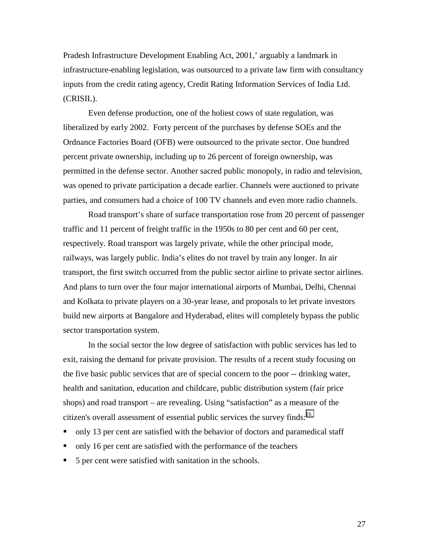Pradesh Infrastructure Development Enabling Act, 2001,' arguably a landmark in infrastructure-enabling legislation, was outsourced to a private law firm with consultancy inputs from the credit rating agency, Credit Rating Information Services of India Ltd. (CRISIL).

Even defense production, one of the holiest cows of state regulation, was liberalized by early 2002. Forty percent of the purchases by defense SOEs and the Ordnance Factories Board (OFB) were outsourced to the private sector. One hundred percent private ownership, including up to 26 percent of foreign ownership, was permitted in the defense sector. Another sacred public monopoly, in radio and television, was opened to private participation a decade earlier. Channels were auctioned to private parties, and consumers had a choice of 100 TV channels and even more radio channels.

Road transport's share of surface transportation rose from 20 percent of passenger traffic and 11 percent of freight traffic in the 1950s to 80 per cent and 60 per cent, respectively. Road transport was largely private, while the other principal mode, railways, was largely public. India's elites do not travel by train any longer. In air transport, the first switch occurred from the public sector airline to private sector airlines. And plans to turn over the four major international airports of Mumbai, Delhi, Chennai and Kolkata to private players on a 30-year lease, and proposals to let private investors build new airports at Bangalore and Hyderabad, elites will completely bypass the public sector transportation system.

 In the social sector the low degree of satisfaction with public services has led to exit, raising the demand for private provision. The results of a recent study focusing on the five basic public services that are of special concern to the poor -- drinking water, health and sanitation, education and childcare, public distribution system (fair price shops) and road transport – are revealing. Using "satisfaction" as a measure of the citizen's overall assessment of essential public services the survey finds:<sup>16</sup>

- only 13 per cent are satisfied with the behavior of doctors and paramedical staff
- only 16 per cent are satisfied with the performance of the teachers
- 5 per cent were satisfied with sanitation in the schools.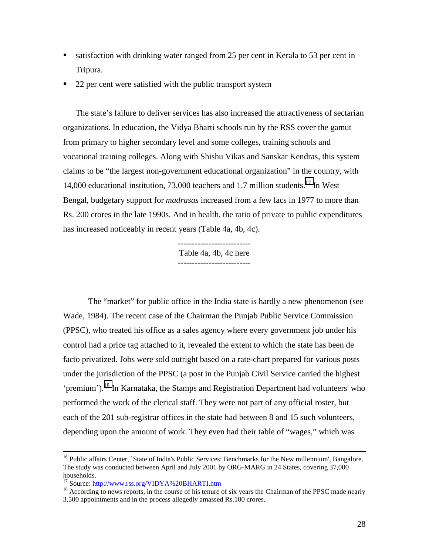- satisfaction with drinking water ranged from 25 per cent in Kerala to 53 per cent in Tripura.
- 22 per cent were satisfied with the public transport system

The state's failure to deliver services has also increased the attractiveness of sectarian organizations. In education, the Vidya Bharti schools run by the RSS cover the gamut from primary to higher secondary level and some colleges, training schools and vocational training colleges. Along with Shishu Vikas and Sanskar Kendras, this system claims to be "the largest non-government educational organization" in the country, with 14,000 educational institution, 73,000 teachers and 1.7 million students.17 In West Bengal, budgetary support for *madrasas* increased from a few lacs in 1977 to more than Rs. 200 crores in the late 1990s. And in health, the ratio of private to public expenditures has increased noticeably in recent years (Table 4a, 4b, 4c).

> Table 4a, 4b, 4c here --------------------------

 The "market" for public office in the India state is hardly a new phenomenon (see Wade, 1984). The recent case of the Chairman the Punjab Public Service Commission (PPSC), who treated his office as a sales agency where every government job under his control had a price tag attached to it, revealed the extent to which the state has been de facto privatized. Jobs were sold outright based on a rate-chart prepared for various posts under the jurisdiction of the PPSC (a post in the Punjab Civil Service carried the highest 'premium').<sup>18</sup> In Karnataka, the Stamps and Registration Department had volunteers' who performed the work of the clerical staff. They were not part of any official roster, but each of the 201 sub-registrar offices in the state had between 8 and 15 such volunteers, depending upon the amount of work. They even had their table of "wages," which was

<sup>&</sup>lt;sup>16</sup> Public affairs Center, `State of India's Public Services: Benchmarks for the New millennium', Bangalore. The study was conducted between April and July 2001 by ORG-MARG in 24 States, covering 37,000 households.<br><sup>17</sup> Source: http://www.rss.org/VIDYA%20BHARTI.htm

 $18$  According to news reports, in the course of his tenure of six years the Chairman of the PPSC made nearly 3,500 appointments and in the process allegedly amassed Rs.100 crores.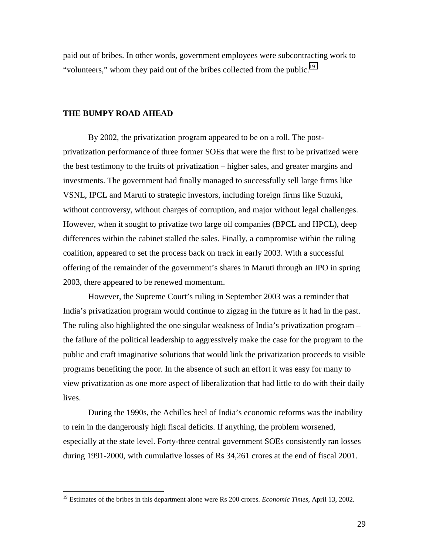paid out of bribes. In other words, government employees were subcontracting work to "volunteers," whom they paid out of the bribes collected from the public.<sup>19</sup>

## **THE BUMPY ROAD AHEAD**

 $\overline{a}$ 

By 2002, the privatization program appeared to be on a roll. The postprivatization performance of three former SOEs that were the first to be privatized were the best testimony to the fruits of privatization – higher sales, and greater margins and investments. The government had finally managed to successfully sell large firms like VSNL, IPCL and Maruti to strategic investors, including foreign firms like Suzuki, without controversy, without charges of corruption, and major without legal challenges. However, when it sought to privatize two large oil companies (BPCL and HPCL), deep differences within the cabinet stalled the sales. Finally, a compromise within the ruling coalition, appeared to set the process back on track in early 2003. With a successful offering of the remainder of the government's shares in Maruti through an IPO in spring 2003, there appeared to be renewed momentum.

However, the Supreme Court's ruling in September 2003 was a reminder that India's privatization program would continue to zigzag in the future as it had in the past. The ruling also highlighted the one singular weakness of India's privatization program – the failure of the political leadership to aggressively make the case for the program to the public and craft imaginative solutions that would link the privatization proceeds to visible programs benefiting the poor. In the absence of such an effort it was easy for many to view privatization as one more aspect of liberalization that had little to do with their daily lives.

During the 1990s, the Achilles heel of India's economic reforms was the inability to rein in the dangerously high fiscal deficits. If anything, the problem worsened, especially at the state level. Forty-three central government SOEs consistently ran losses during 1991-2000, with cumulative losses of Rs 34,261 crores at the end of fiscal 2001.

<sup>&</sup>lt;sup>19</sup> Estimates of the bribes in this department alone were Rs 200 crores. *Economic Times*, April 13, 2002.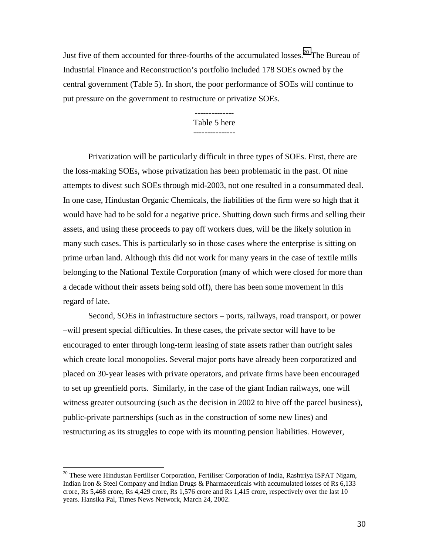Just five of them accounted for three-fourths of the accumulated losses.<sup>20</sup> The Bureau of Industrial Finance and Reconstruction's portfolio included 178 SOEs owned by the central government (Table 5). In short, the poor performance of SOEs will continue to put pressure on the government to restructure or privatize SOEs.

> -------------- Table 5 here ---------------

Privatization will be particularly difficult in three types of SOEs. First, there are the loss-making SOEs, whose privatization has been problematic in the past. Of nine attempts to divest such SOEs through mid-2003, not one resulted in a consummated deal. In one case, Hindustan Organic Chemicals, the liabilities of the firm were so high that it would have had to be sold for a negative price. Shutting down such firms and selling their assets, and using these proceeds to pay off workers dues, will be the likely solution in many such cases. This is particularly so in those cases where the enterprise is sitting on prime urban land. Although this did not work for many years in the case of textile mills belonging to the National Textile Corporation (many of which were closed for more than a decade without their assets being sold off), there has been some movement in this regard of late.

Second, SOEs in infrastructure sectors – ports, railways, road transport, or power –will present special difficulties. In these cases, the private sector will have to be encouraged to enter through long-term leasing of state assets rather than outright sales which create local monopolies. Several major ports have already been corporatized and placed on 30-year leases with private operators, and private firms have been encouraged to set up greenfield ports. Similarly, in the case of the giant Indian railways, one will witness greater outsourcing (such as the decision in 2002 to hive off the parcel business), public-private partnerships (such as in the construction of some new lines) and restructuring as its struggles to cope with its mounting pension liabilities. However,

 $^{20}$  These were Hindustan Fertiliser Corporation, Fertiliser Corporation of India, Rashtriya ISPAT Nigam, Indian Iron & Steel Company and Indian Drugs & Pharmaceuticals with accumulated losses of Rs 6,133 crore, Rs 5,468 crore, Rs 4,429 crore, Rs 1,576 crore and Rs 1,415 crore, respectively over the last 10 years. Hansika Pal, Times News Network, March 24, 2002.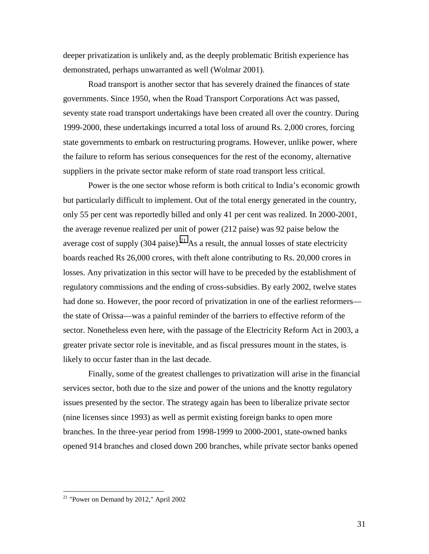deeper privatization is unlikely and, as the deeply problematic British experience has demonstrated, perhaps unwarranted as well (Wolmar 2001).

 Road transport is another sector that has severely drained the finances of state governments. Since 1950, when the Road Transport Corporations Act was passed, seventy state road transport undertakings have been created all over the country. During 1999-2000, these undertakings incurred a total loss of around Rs. 2,000 crores, forcing state governments to embark on restructuring programs. However, unlike power, where the failure to reform has serious consequences for the rest of the economy, alternative suppliers in the private sector make reform of state road transport less critical.

Power is the one sector whose reform is both critical to India's economic growth but particularly difficult to implement. Out of the total energy generated in the country, only 55 per cent was reportedly billed and only 41 per cent was realized. In 2000-2001, the average revenue realized per unit of power (212 paise) was 92 paise below the average cost of supply (304 paise).<sup>21</sup> As a result, the annual losses of state electricity boards reached Rs 26,000 crores, with theft alone contributing to Rs. 20,000 crores in losses. Any privatization in this sector will have to be preceded by the establishment of regulatory commissions and the ending of cross-subsidies. By early 2002, twelve states had done so. However, the poor record of privatization in one of the earliest reformers the state of Orissa—was a painful reminder of the barriers to effective reform of the sector. Nonetheless even here, with the passage of the Electricity Reform Act in 2003, a greater private sector role is inevitable, and as fiscal pressures mount in the states, is likely to occur faster than in the last decade.

 Finally, some of the greatest challenges to privatization will arise in the financial services sector, both due to the size and power of the unions and the knotty regulatory issues presented by the sector. The strategy again has been to liberalize private sector (nine licenses since 1993) as well as permit existing foreign banks to open more branches. In the three-year period from 1998-1999 to 2000-2001, state-owned banks opened 914 branches and closed down 200 branches, while private sector banks opened

 $21$  "Power on Demand by 2012," April 2002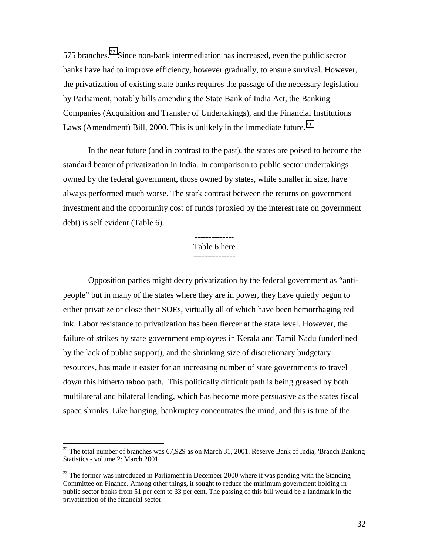575 branches. $^{22}$  Since non-bank intermediation has increased, even the public sector banks have had to improve efficiency, however gradually, to ensure survival. However, the privatization of existing state banks requires the passage of the necessary legislation by Parliament, notably bills amending the State Bank of India Act, the Banking Companies (Acquisition and Transfer of Undertakings), and the Financial Institutions Laws (Amendment) Bill, 2000. This is unlikely in the immediate future.<sup>23</sup>

In the near future (and in contrast to the past), the states are poised to become the standard bearer of privatization in India. In comparison to public sector undertakings owned by the federal government, those owned by states, while smaller in size, have always performed much worse. The stark contrast between the returns on government investment and the opportunity cost of funds (proxied by the interest rate on government debt) is self evident (Table 6).

#### -------------- Table 6 here ---------------

Opposition parties might decry privatization by the federal government as "antipeople" but in many of the states where they are in power, they have quietly begun to either privatize or close their SOEs, virtually all of which have been hemorrhaging red ink. Labor resistance to privatization has been fiercer at the state level. However, the failure of strikes by state government employees in Kerala and Tamil Nadu (underlined by the lack of public support), and the shrinking size of discretionary budgetary resources, has made it easier for an increasing number of state governments to travel down this hitherto taboo path. This politically difficult path is being greased by both multilateral and bilateral lending, which has become more persuasive as the states fiscal space shrinks. Like hanging, bankruptcy concentrates the mind, and this is true of the

<sup>&</sup>lt;sup>22</sup> The total number of branches was 67,929 as on March 31, 2001. Reserve Bank of India, 'Branch Banking Statistics - volume 2: March 2001.

 $23$  The former was introduced in Parliament in December 2000 where it was pending with the Standing Committee on Finance. Among other things, it sought to reduce the minimum government holding in public sector banks from 51 per cent to 33 per cent. The passing of this bill would be a landmark in the privatization of the financial sector.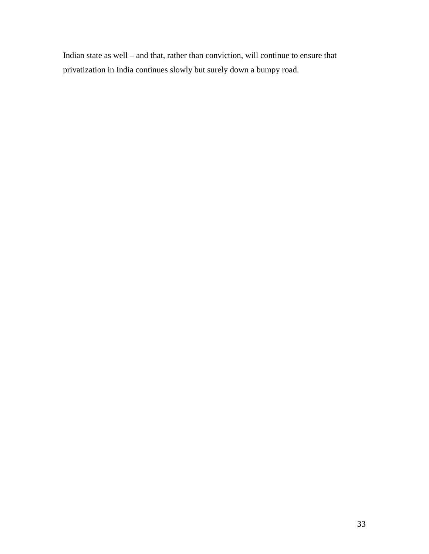Indian state as well – and that, rather than conviction, will continue to ensure that privatization in India continues slowly but surely down a bumpy road.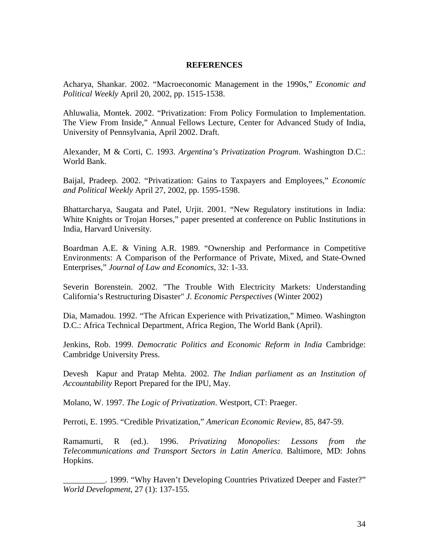## **REFERENCES**

Acharya, Shankar. 2002. "Macroeconomic Management in the 1990s," *Economic and Political Weekly* April 20, 2002, pp. 1515-1538.

Ahluwalia, Montek. 2002. "Privatization: From Policy Formulation to Implementation. The View From Inside," Annual Fellows Lecture, Center for Advanced Study of India, University of Pennsylvania, April 2002. Draft.

Alexander, M & Corti, C. 1993. *Argentina's Privatization Program*. Washington D.C.: World Bank.

Baijal, Pradeep. 2002. "Privatization: Gains to Taxpayers and Employees," *Economic and Political Weekly* April 27, 2002, pp. 1595-1598.

Bhattarcharya, Saugata and Patel, Urjit. 2001. "New Regulatory institutions in India: White Knights or Trojan Horses," paper presented at conference on Public Institutions in India, Harvard University.

Boardman A.E. & Vining A.R. 1989. "Ownership and Performance in Competitive Environments: A Comparison of the Performance of Private, Mixed, and State-Owned Enterprises," *Journal of Law and Economics*, 32: 1-33.

Severin Borenstein. 2002. "The Trouble With Electricity Markets: Understanding California's Restructuring Disaster" *J. Economic Perspectives* (Winter 2002)

Dia, Mamadou. 1992. "The African Experience with Privatization," Mimeo. Washington D.C.: Africa Technical Department, Africa Region, The World Bank (April).

Jenkins, Rob. 1999. *Democratic Politics and Economic Reform in India* Cambridge: Cambridge University Press.

Devesh Kapur and Pratap Mehta. 2002. *The Indian parliament as an Institution of Accountability* Report Prepared for the IPU, May.

Molano, W. 1997. *The Logic of Privatization*. Westport, CT: Praeger.

Perroti, E. 1995. "Credible Privatization," *American Economic Review*, 85, 847-59.

Ramamurti, R (ed.). 1996. *Privatizing Monopolies: Lessons from the Telecommunications and Transport Sectors in Latin America*. Baltimore, MD: Johns Hopkins.

\_\_\_\_\_\_\_\_\_\_. 1999. "Why Haven't Developing Countries Privatized Deeper and Faster?" *World Development*, 27 (1): 137-155.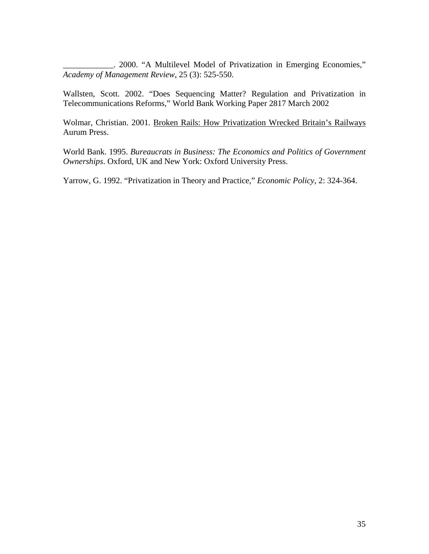\_\_\_\_\_\_\_\_\_\_\_\_. 2000. "A Multilevel Model of Privatization in Emerging Economies," *Academy of Management Review*, 25 (3): 525-550.

Wallsten, Scott. 2002. "Does Sequencing Matter? Regulation and Privatization in Telecommunications Reforms," World Bank Working Paper 2817 March 2002

Wolmar, Christian. 2001. Broken Rails: How Privatization Wrecked Britain's Railways Aurum Press.

World Bank. 1995. *Bureaucrats in Business: The Economics and Politics of Government Ownerships*. Oxford, UK and New York: Oxford University Press.

Yarrow, G. 1992. "Privatization in Theory and Practice," *Economic Policy*, 2: 324-364.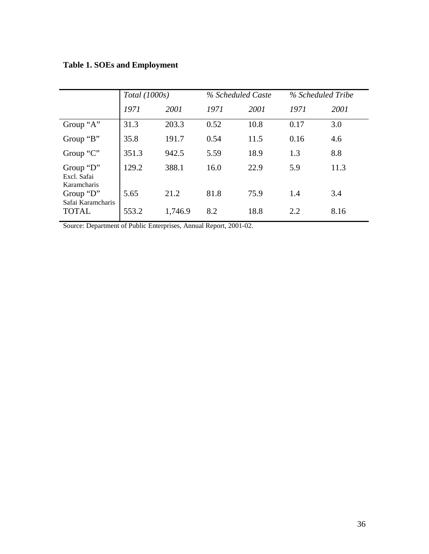**Table 1. SOEs and Employment** 

|                                         | Total (1000s) |         | % Scheduled Caste |      | % Scheduled Tribe |      |
|-----------------------------------------|---------------|---------|-------------------|------|-------------------|------|
|                                         | 1971          | 2001    | 1971              | 2001 | 1971              | 2001 |
| Group "A"                               | 31.3          | 203.3   | 0.52              | 10.8 | 0.17              | 3.0  |
| Group "B"                               | 35.8          | 191.7   | 0.54              | 11.5 | 0.16              | 4.6  |
| Group "C"                               | 351.3         | 942.5   | 5.59              | 18.9 | 1.3               | 8.8  |
| Group "D"<br>Excl. Safai<br>Karamcharis | 129.2         | 388.1   | 16.0              | 22.9 | 5.9               | 11.3 |
| Group "D"<br>Safai Karamcharis          | 5.65          | 21.2    | 81.8              | 75.9 | 1.4               | 3.4  |
| <b>TOTAL</b>                            | 553.2         | 1,746.9 | 8.2               | 18.8 | 2.2               | 8.16 |

Source: Department of Public Enterprises, Annual Report, 2001-02.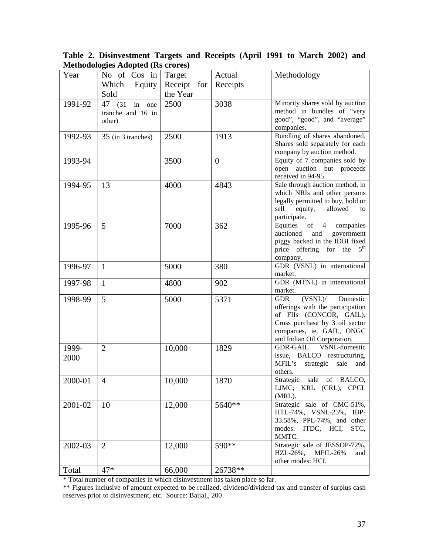| Year          | No of $Cos \in$<br>Which Equity | Target<br>Receipt for | Actual<br>Receipts | Methodology                                                                                                                                                                                   |
|---------------|---------------------------------|-----------------------|--------------------|-----------------------------------------------------------------------------------------------------------------------------------------------------------------------------------------------|
| 1991-92       | Sold<br>47 (31 in one           | the Year<br>2500      | 3038               | Minority shares sold by auction                                                                                                                                                               |
|               | tranche and 16 in<br>other)     |                       |                    | method in bundles of "very<br>good", "good", and "average"<br>companies.                                                                                                                      |
| 1992-93       | 35 (in 3 tranches)              | 2500                  | 1913               | Bundling of shares abandoned.<br>Shares sold separately for each<br>company by auction method.                                                                                                |
| 1993-94       |                                 | 3500                  | $\overline{0}$     | Equity of 7 companies sold by<br>open auction but proceeds<br>received in 94-95.                                                                                                              |
| 1994-95       | 13                              | 4000                  | 4843               | Sale through auction method, in<br>which NRIs and other persons<br>legally permitted to buy, hold or<br>sell<br>equity,<br>allowed<br>to<br>participate.                                      |
| 1995-96       | 5                               | 7000                  | 362                | Equities<br>of<br>$4\overline{ }$<br>companies<br>auctioned<br>and<br>government<br>piggy backed in the IDBI fixed<br>price offering for the 5 <sup>th</sup><br>company.                      |
| 1996-97       | $\mathbf{1}$                    | 5000                  | 380                | GDR (VSNL) in international<br>market.                                                                                                                                                        |
| 1997-98       | $\mathbf{1}$                    | 4800                  | 902                | GDR (MTNL) in international<br>market.                                                                                                                                                        |
| 1998-99       | 5                               | 5000                  | 5371               | (VSNL)<br>Domestic<br><b>GDR</b><br>offerings with the participation<br>of FIIs (CONCOR, GAIL).<br>Cross purchase by 3 oil sector<br>companies, ie, GAIL, ONGC<br>and Indian Oil Corporation. |
| 1999-<br>2000 | $\overline{2}$                  | 10,000                | 1829               | VSNL-domestic<br><b>GDR-GAIL</b><br>issue, BALCO restructuring,<br>MFIL's<br>strategic<br>sale<br>and<br>others.                                                                              |
| 2000-01       | $\overline{4}$                  | 10,000                | 1870               | sale<br>of<br>BALCO,<br>Strategic<br>LJMC; KRL (CRL), CPCL<br>(MRL).                                                                                                                          |
| 2001-02       | 10                              | 12,000                | 5640**             | Strategic sale of CMC-51%,<br>HTL-74%, VSNL-25%, IBP-<br>33.58%, PPL-74%, and other<br>modes: ITDC, HCI,<br>STC,<br>MMTC.                                                                     |
| 2002-03       | 2                               | 12,000                | 590**              | Strategic sale of JESSOP-72%,<br>HZL-26%, MFIL-26%<br>and<br>other modes: HCI.                                                                                                                |
| Total         | $47*$                           | 66,000                | 26738**            |                                                                                                                                                                                               |

**Table 2. Disinvestment Targets and Receipts (April 1991 to March 2002) and Methodologies Adopted (Rs crores)** 

\* Total number of companies in which disinvestment has taken place so far.

\*\* Figures inclusive of amount expected to be realized, dividend/dividend tax and transfer of surplus cash reserves prior to disinvestment, etc. Source: Baijal,, 200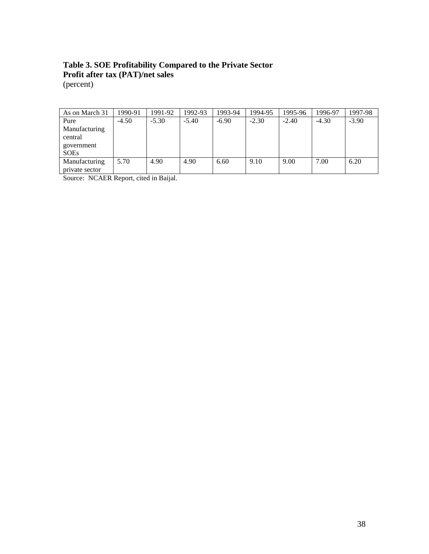## **Table 3. SOE Profitability Compared to the Private Sector Profit after tax (PAT)/net sales**  (percent)

As on March 31 1990-91 1991-92 1992-93 1993-94 1994-95 1995-96 1996-97 1997-98 Pure Manufacturing central government SOEs  $-4.50$   $-5.30$   $-5.40$   $-6.90$   $-2.30$   $-2.40$   $-4.30$   $-3.90$ **Manufacturing** private sector 5.70 4.90 4.90 6.60 9.10 9.00 7.00 6.20

Source: NCAER Report, cited in Baijal.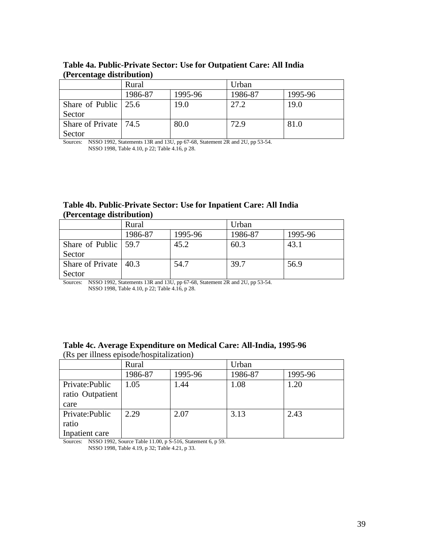|                              | Rural   |         | Urban   |         |
|------------------------------|---------|---------|---------|---------|
|                              | 1986-87 | 1995-96 | 1986-87 | 1995-96 |
| Share of Public $\vert$ 25.6 |         | 19.0    | 27.2    | 19.0    |
| Sector                       |         |         |         |         |
| Share of Private   74.5      |         | 80.0    | 72.9    | 81.0    |
| Sector                       |         |         |         |         |

## **Table 4a. Public-Private Sector: Use for Outpatient Care: All India (Percentage distribution)**

Sources: NSSO 1992, Statements 13R and 13U, pp 67-68, Statement 2R and 2U, pp 53-54. NSSO 1998, Table 4.10, p 22; Table 4.16, p 28.

## **Table 4b. Public-Private Sector: Use for Inpatient Care: All India (Percentage distribution)**

|                         | Rural   |         | Urban   |         |
|-------------------------|---------|---------|---------|---------|
|                         | 1986-87 | 1995-96 | 1986-87 | 1995-96 |
| Share of Public   59.7  |         | 45.2    | 60.3    | 43.1    |
| Sector                  |         |         |         |         |
| Share of Private   40.3 |         | 54.7    | 39.7    | 56.9    |
| Sector                  |         |         |         |         |

Sources: NSSO 1992, Statements 13R and 13U, pp 67-68, Statement 2R and 2U, pp 53-54. NSSO 1998, Table 4.10, p 22; Table 4.16, p 28.

## **Table 4c. Average Expenditure on Medical Care: All-India, 1995-96**  (Rs per illness episode/hospitalization)

|                  | Rural   |         | Urban   |         |
|------------------|---------|---------|---------|---------|
|                  | 1986-87 | 1995-96 | 1986-87 | 1995-96 |
| Private:Public   | 1.05    | 1.44    | 1.08    | 1.20    |
| ratio Outpatient |         |         |         |         |
| care             |         |         |         |         |
| Private:Public   | 2.29    | 2.07    | 3.13    | 2.43    |
| ratio            |         |         |         |         |
| Inpatient care   |         |         |         |         |

Sources: NSSO 1992, Source Table 11.00, p S-516, Statement 6, p 59. NSSO 1998, Table 4.19, p 32; Table 4.21, p 33.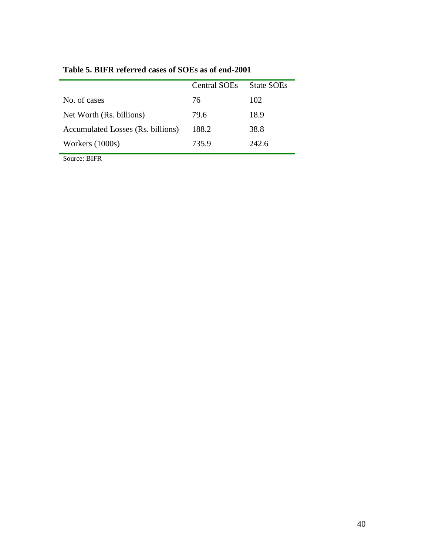|                                   | <b>Central SOEs</b> | <b>State SOEs</b> |
|-----------------------------------|---------------------|-------------------|
| No. of cases                      | 76                  | 102               |
| Net Worth (Rs. billions)          | 79.6                | 18.9              |
| Accumulated Losses (Rs. billions) | 188.2               | 38.8              |
| Workers (1000s)                   | 735.9               | 242.6             |
| Source: BIFR                      |                     |                   |

## **Table 5. BIFR referred cases of SOEs as of end-2001**